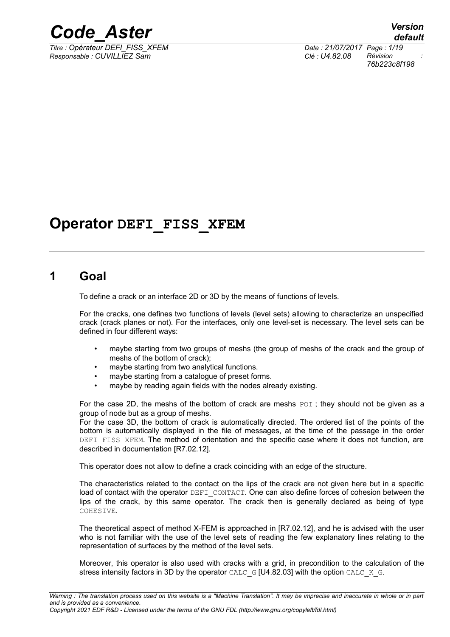

*Titre : Opérateur DEFI\_FISS\_XFEM Date : 21/07/2017 Page : 1/19 Responsable : CUVILLIEZ Sam Clé : U4.82.08 Révision :*

*76b223c8f198*

## **Operator DEFI\_FISS\_XFEM**

### **1 Goal**

To define a crack or an interface 2D or 3D by the means of functions of levels.

For the cracks, one defines two functions of levels (level sets) allowing to characterize an unspecified crack (crack planes or not). For the interfaces, only one level-set is necessary. The level sets can be defined in four different ways:

- maybe starting from two groups of meshs (the group of meshs of the crack and the group of meshs of the bottom of crack);
- maybe starting from two analytical functions.
- maybe starting from a catalogue of preset forms.
- maybe by reading again fields with the nodes already existing.

For the case 2D, the meshs of the bottom of crack are meshs POI; they should not be given as a group of node but as a group of meshs.

For the case 3D, the bottom of crack is automatically directed. The ordered list of the points of the bottom is automatically displayed in the file of messages, at the time of the passage in the order DEFI FISS XFEM. The method of orientation and the specific case where it does not function, are described in documentation [R7.02.12].

This operator does not allow to define a crack coinciding with an edge of the structure.

The characteristics related to the contact on the lips of the crack are not given here but in a specific load of contact with the operator DEFI\_CONTACT. One can also define forces of cohesion between the lips of the crack, by this same operator. The crack then is generally declared as being of type COHESIVE.

The theoretical aspect of method X-FEM is approached in [R7.02.12], and he is advised with the user who is not familiar with the use of the level sets of reading the few explanatory lines relating to the representation of surfaces by the method of the level sets.

Moreover, this operator is also used with cracks with a grid, in precondition to the calculation of the stress intensity factors in 3D by the operator CALC\_G [U4.82.03] with the option CALC\_K\_G.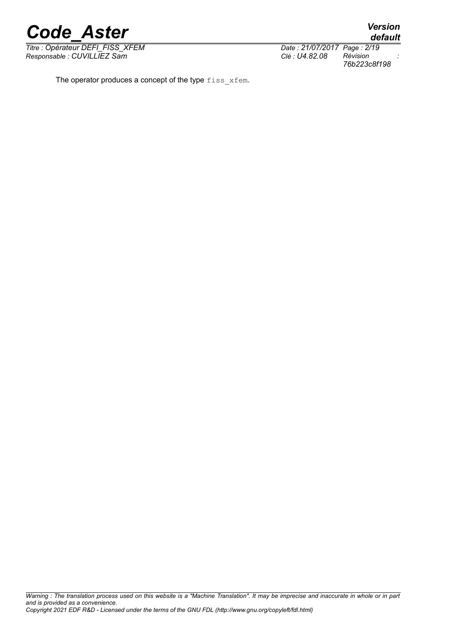*Titre : Opérateur DEFI\_FISS\_XFEM Date : 21/07/2017 Page : 2/19 Responsable : CUVILLIEZ Sam Clé : U4.82.08 Révision :*

The operator produces a concept of the type fiss xfem.

*Warning : The translation process used on this website is a "Machine Translation". It may be imprecise and inaccurate in whole or in part and is provided as a convenience.*

*default*

*76b223c8f198*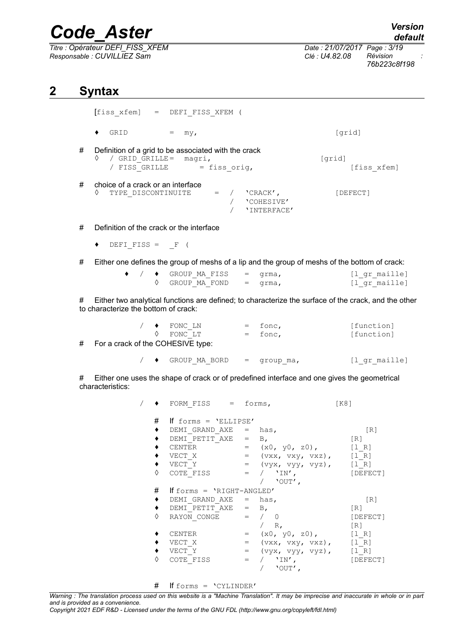| Titre : Opérateur DEFI FISS XFEM |  |
|----------------------------------|--|
| Responsable : CUVILLIEZ Sam      |  |

*Date : 21/07/2017 Page : 3/19*<br>*Clé : 114 82 08 Révision Responsable : CUVILLIEZ Sam Clé : U4.82.08 Révision : 76b223c8f198*

## **2 Syntax**

|   | [fiss xfem] = DEFI FISS XFEM (                                                                                   |                                       |
|---|------------------------------------------------------------------------------------------------------------------|---------------------------------------|
|   | GRID<br>٠<br>my <sub>l</sub>                                                                                     | [grid]                                |
| # | Definition of a grid to be associated with the crack<br>/ GRID GRILLE= magri,<br>♦<br>/ FISS GRILLE = fiss orig, | [qrid]<br>[fiss xfem]                 |
| # | choice of a crack or an interface<br>♦<br>TYPE DISCONTINUITE $=$ /<br>'CRACK',                                   | [DEFECT]<br>'COHESIVE'<br>'INTERFACE' |
| # | Definition of the crack or the interface                                                                         |                                       |

- $\blacklozenge$  DEFI FISS = F (
- # Either one defines the group of meshs of a lip and the group of meshs of the bottom of crack:

|  | $\bullet$ / $\bullet$ GROUP MA FISS = grma, |  | [l gr maille] |
|--|---------------------------------------------|--|---------------|
|  | $\Diamond$ GROUP MA FOND = grma,            |  | [l qr maille] |

# Either two analytical functions are defined; to characterize the surface of the crack, and the other to characterize the bottom of crack:

|                                     | $/ \bullet$ FONC LN | $=$ fonc, | [function] |
|-------------------------------------|---------------------|-----------|------------|
|                                     | 0 FONC LT           | $=$ fonc, | [function] |
| # For a crack of the COHESIVE type: |                     |           |            |

| GROUP MA BORD | $=$ qroup ma, | [1 gr maille] |
|---------------|---------------|---------------|
|---------------|---------------|---------------|

# Either one uses the shape of crack or of predefined interface and one gives the geometrical characteristics:

|           | FORM FISS $=$ forms,         |         |                                 | K81                               |
|-----------|------------------------------|---------|---------------------------------|-----------------------------------|
| #         | If forms = $'ELLIPSE'$       |         |                                 |                                   |
|           | DEMI GRAND AXE $=$ has,      |         |                                 | $\begin{bmatrix} R \end{bmatrix}$ |
|           | DEMI PETIT AXE $=$ B,        |         |                                 | [R]                               |
|           | CENTER                       |         | $=$ $(x0, y0, z0),$ [1 R]       |                                   |
|           | VECT X                       |         | $=$ (vxx, vxy, vxz), [1 R]      |                                   |
|           | VECT Y                       |         | = (vyx, vyy, vyz), [l R]        |                                   |
| ♦         | COTE FISS                    |         | $=$ $/$ $'IN',$<br>$/$ 'OUT',   | [DEFECT]                          |
| #         | If forms = $'$ RIGHT-ANGLED' |         |                                 |                                   |
| $\bullet$ | DEMI GRAND AXE $=$ has,      |         |                                 | [R]                               |
|           | DEMI PETIT AXE $=$ B,        |         |                                 | $\lceil R \rceil$                 |
| ♦         | RAYON CONGE                  |         | $=$ $/$ 0                       | [DEFECT]                          |
|           |                              |         | / $R_{I}$                       | $\lceil R \rceil$                 |
|           | <b>CENTER</b>                |         | $=$ $(x0, y0, z0)$ ,            | [1 R]                             |
|           | VECT X                       | $=$ $-$ | $(vxx, vxy, vxz), \qquad [1 R]$ |                                   |
|           | VECT Y                       |         | $=$ $(vyx, vyy, vyz),$          | [1 R]                             |
| ♦         | COTE FISS                    | $=$     | $/$ 'IN',<br>$'$ OUT',          | [DEFECT]                          |

# If forms = 'CYLINDER'

*Warning : The translation process used on this website is a "Machine Translation". It may be imprecise and inaccurate in whole or in part and is provided as a convenience.*

*Copyright 2021 EDF R&D - Licensed under the terms of the GNU FDL (http://www.gnu.org/copyleft/fdl.html)*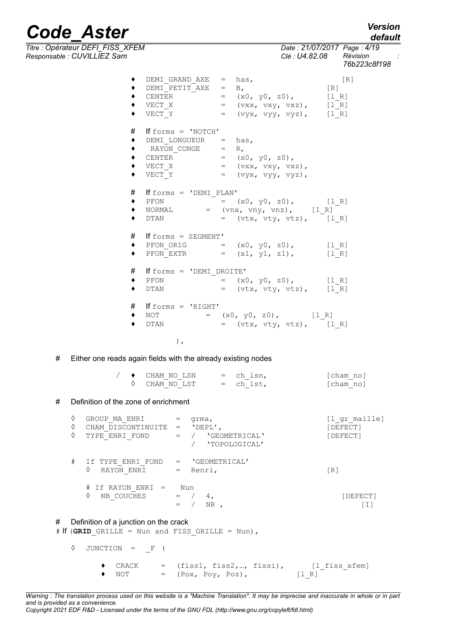*Titre : Opérateur DEFI\_FISS\_XFEM Date : 21/07/2017 Page : 4/*<br> *Responsable : CUVILLIEZ Sam Clé : U4.82.08 Révision Responsable : CUVILLIEZ Sam Clé : U4.82.08 Révision :*

|                | DEMI GRAND AXE $=$ has,<br>DEMI PETIT AXE = $B$ ,<br>VECT X<br>VECT Y                              | CENTER = $(x0, y0, z0)$ , [1R]<br>VECT_X = $(xx, vxy, vxz)$ , [1R]<br>$=$ (vyx, vyy, vyz), [1 R]                                                                                        | $\lceil R \rceil$<br>[R] |
|----------------|----------------------------------------------------------------------------------------------------|-----------------------------------------------------------------------------------------------------------------------------------------------------------------------------------------|--------------------------|
| #              | If forms = $'$ NOTCH'<br>DEMI LONGUEUR = $has,$<br>RAYON CONGE $= R$ ,<br>CENTER = $(x0, y0, z0),$ | $\begin{array}{lllllll}\n\text{\large $\bullet$} & \text{VECT\_X} & = & \text{(vxx, vxy, vxz)},\\ \n\text{\large $\bullet$} & \text{VECT\_Y} & = & \text{(vyx, vyy, vyz)}, \end{array}$ |                          |
| #<br>$\bullet$ | If forms = $'DEMI$ PLAN'                                                                           | PFON $= (x0, y0, z0), [1_R]$<br>NORMAL $= (vnx, vny, vnz), [1_R]$<br>DTAN $=$ (vtx, vty, vtz), [l_R]                                                                                    |                          |
| $\bullet$      | # If forms = SEGMENT'                                                                              | PFON ORIG = $(x0, y0, z0)$ , [1 R]<br>PFON EXTR = $(x1, y1, z1)$ , [1 R]                                                                                                                |                          |
| ٠              | # If forms = 'DEMI DROITE'<br>PFON<br>DTAN                                                         | = $(x0, y0, z0)$ , [1 R]<br>$=$ (vtx, vty, vtz), [1 R]                                                                                                                                  |                          |
| $\bullet$      | $#$ If forms = 'RIGHT'                                                                             | NOT = $(x0, y0, z0)$ , $[1_R]$<br>DTAN = $(vtx, vty, vtz)$ , $[1_R]$                                                                                                                    |                          |

),

# Either one reads again fields with the already existing nodes

|  | $\leftrightarrow$ CHAM NO LSN | $=$ ch lsn, | [cham no] |
|--|-------------------------------|-------------|-----------|
|  | ♦ CHAM NO LST                 | $=$ ch lst, | [cham no] |

#### # Definition of the zone of enrichment

| ♦<br>♦<br>♦ | GROUP MA ENRI<br>CHAM DISCONTINUITE<br>TYPE ENRI FOND | qrma,<br>'DEPL',<br>$=$<br>'GEOMETRICAL'<br>$=$<br>'TOPOLOGICAL' | [l gr maille]<br>[DEFECT]<br>[DEFECT] |
|-------------|-------------------------------------------------------|------------------------------------------------------------------|---------------------------------------|
| #           | If TYPE ENRI FOND<br>♦<br>RAYON ENRI                  | 'GEOMETRICAL'<br>$=$<br>Renri,<br>$=$                            | [R]                                   |
|             | If RAYON ENRI =<br>#<br>NB COUCHES<br>♦               | Nun<br>$=$<br>4.<br>NR.                                          | [DEFECT]<br>, I I                     |

#### # Definition of a junction on the crack

# If (**GRID**\_GRILLE = Nun and FISS\_GRILLE = Nun),

◊ JUNCTION = \_F (

◆ CRACK = (fiss1, fiss2,..., fissi),  $[1_f \text{Liss}_x \text{fem}]$ <br>◆ NOT = (Pox, Pov, Poz),  $[1 R]$  $\bullet$  NOT = (Pox, Poy, Poz), [1R]

*Warning : The translation process used on this website is a "Machine Translation". It may be imprecise and inaccurate in whole or in part and is provided as a convenience. Copyright 2021 EDF R&D - Licensed under the terms of the GNU FDL (http://www.gnu.org/copyleft/fdl.html)*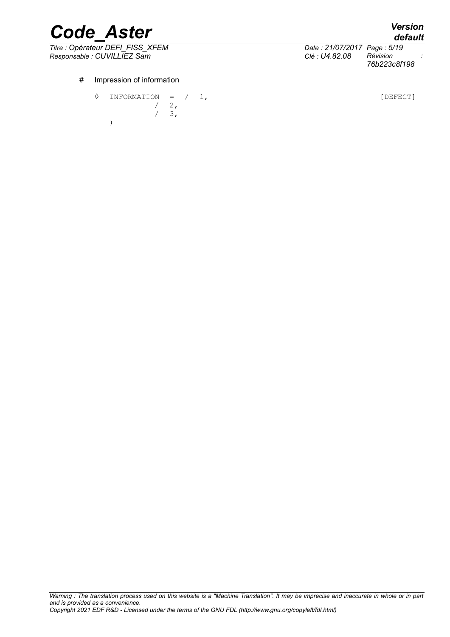*Titre : Opérateur DEFI\_FISS\_XFEM Date : 21/07/2017 Page : 5/19*

| Λ | <b>INFORMATION</b> | $=$  |  |
|---|--------------------|------|--|
|   |                    | - 2, |  |
|   |                    | 3,   |  |
|   |                    |      |  |

*Responsable : CUVILLIEZ Sam Clé : U4.82.08 Révision : 76b223c8f198*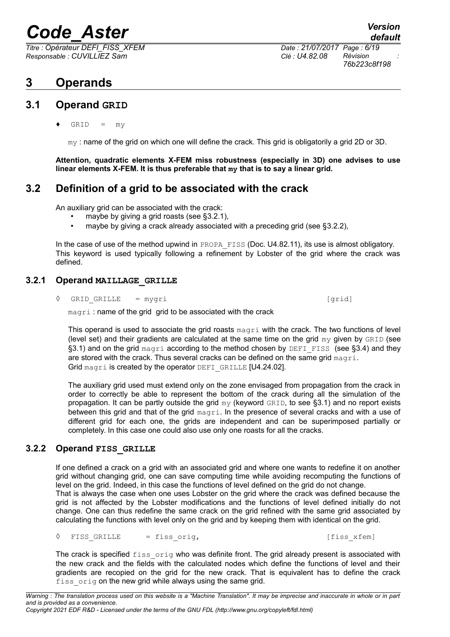*Titre : Opérateur DEFI\_FISS\_XFEM Date : 21/07/2017 Page : 6/19 Responsable : CUVILLIEZ Sam Clé : U4.82.08 Révision :*

## **3 Operands**

### **3.1 Operand GRID**

<span id="page-5-1"></span> $GRID = mv$ 

my : name of the grid on which one will define the crack. This grid is obligatorily a grid 2D or 3D.

**Attention, quadratic elements X-FEM miss robustness (especially in 3D) one advises to use linear elements X-FEM. It is thus preferable that my that is to say a linear grid.**

### **3.2 Definition of a grid to be associated with the crack**

An auxiliary grid can be associated with the crack:

- maybe by giving a grid roasts (see [§3.2.1\)](#page-5-0),
- maybe by giving a crack already associated with a preceding grid (see [§3.2.2\)](#page-5-2),

In the case of use of the method upwind in PROPA\_FISS (Doc. U4.82.11), its use is almost obligatory. This keyword is used typically following a refinement by Lobster of the grid where the crack was defined.

### **3.2.1 Operand MAILLAGE\_GRILLE**

<span id="page-5-0"></span>**◊** GRID\_GRILLE = mygri [grid]

magri : name of the grid grid to be associated with the crack

This operand is used to associate the grid roasts  $_{\text{magni}}$  with the crack. The two functions of level (level set) and their gradients are calculated at the same time on the grid  $m<sub>V</sub>$  given by  $GRLD$  (see [§3.1\)](#page-5-1) and on the grid magri according to the method chosen by DEFI\_FISS (see [§3.4\)](#page-6-0) and they are stored with the crack. Thus several cracks can be defined on the same grid magri. Grid magri is created by the operator DEFI GRILLE [U4.24.02].

The auxiliary grid used must extend only on the zone envisaged from propagation from the crack in order to correctly be able to represent the bottom of the crack during all the simulation of the propagation. It can be partly outside the grid  $my$  (keyword GRID, to see [§3.1\)](#page-5-1) and no report exists between this grid and that of the grid magri. In the presence of several cracks and with a use of different grid for each one, the grids are independent and can be superimposed partially or completely. In this case one could also use only one roasts for all the cracks.

### **3.2.2 Operand FISS\_GRILLE**

<span id="page-5-2"></span>If one defined a crack on a grid with an associated grid and where one wants to redefine it on another grid without changing grid, one can save computing time while avoiding recomputing the functions of level on the grid. Indeed, in this case the functions of level defined on the grid do not change. That is always the case when one uses Lobster on the grid where the crack was defined because the grid is not affected by the Lobster modifications and the functions of level defined initially do not change. One can thus redefine the same crack on the grid refined with the same grid associated by calculating the functions with level only on the grid and by keeping them with identical on the grid.

**◊** FISS\_GRILLE = fiss\_orig, [fiss\_xfem]

The crack is specified fiss orig who was definite front. The grid already present is associated with the new crack and the fields with the calculated nodes which define the functions of level and their gradients are recopied on the grid for the new crack. That is equivalent has to define the crack fiss orig on the new grid while always using the same grid.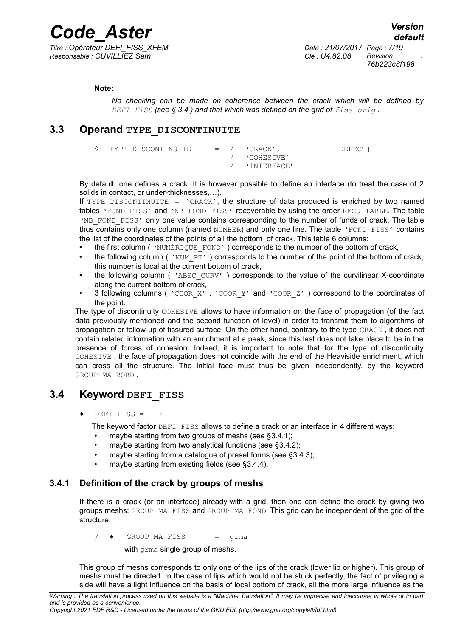*Titre : Opérateur DEFI\_FISS\_XFEM Date : 21/07/2017 Page : 7/19 Responsable : CUVILLIEZ Sam Clé : U4.82.08 Révision :*

*76b223c8f198*

#### **Note:**

*No checking can be made on coherence between the crack which will be defined by DEFI\_FISS (see § [3.4](#page-6-0) ) and that which was defined on the grid of fiss\_orig .*

### **3.3 Operand TYPE\_DISCONTINUITE**

**◊** TYPE\_DISCONTINUITE = / 'CRACK', [DEFECT] / 'COHESIVE' / 'INTERFACE'

By default, one defines a crack. It is however possible to define an interface (to treat the case of 2 solids in contact, or under-thicknesses,…).

If TYPE DISCONTINUITE =  $\text{Ver}_1$ , the structure of data produced is enriched by two named tables 'FOND FISS' and 'NB FOND FISS' recoverable by using the order RECU TABLE. The table 'NB\_FOND\_FISS' only one value contains corresponding to the number of funds of crack. The table thus contains only one column (named NUMBER) and only one line. The table 'FOND FISS' contains the list of the coordinates of the points of all the bottom of crack. This table 6 columns:

- the first column ( 'NUMÉRIQUE FOND' ) corresponds to the number of the bottom of crack,
- the following column ( $'NUMPT'$ ) corresponds to the number of the point of the bottom of crack, this number is local at the current bottom of crack,
- the following column ( 'ABSC CURV' ) corresponds to the value of the curvilinear X-coordinate along the current bottom of crack,
- 3 following columns ( 'COOR X', 'COOR Y' and 'COOR Z' ) correspond to the coordinates of the point.

The type of discontinuity COHESIVE allows to have information on the face of propagation (of the fact data previously mentioned and the second function of level) in order to transmit them to algorithms of propagation or follow-up of fissured surface. On the other hand, contrary to the type CRACK , it does not contain related information with an enrichment at a peak, since this last does not take place to be in the presence of forces of cohesion. Indeed, it is important to note that for the type of discontinuity COHESIVE , the face of propagation does not coincide with the end of the Heaviside enrichment, which can cross all the structure. The initial face must thus be given independently, by the keyword GROUP\_MA\_BORD .

### **3.4 Keyword DEFI\_FISS**

<span id="page-6-0"></span> $DEFI$  FISS =  $F$ 

The keyword factor DEFI FISS allows to define a crack or an interface in 4 different ways:

- maybe starting from two groups of meshs (see  $\S 3.4.1$ );
- maybe starting from two analytical functions (see [§3.4.2\)](#page-7-0);
- maybe starting from a catalogue of preset forms (see [§3.4.3\)](#page-8-0);
- maybe starting from existing fields (see [§3.4.4\)](#page-12-0).

#### **3.4.1 Definition of the crack by groups of meshs**

<span id="page-6-1"></span>If there is a crack (or an interface) already with a grid, then one can define the crack by giving two groups meshs: GROUP\_MA\_FISS and GROUP\_MA\_FOND. This grid can be independent of the grid of the structure.

 $/ \bullet$  GROUP MA FISS  $=$  grma

with grma single group of meshs.

This group of meshs corresponds to only one of the lips of the crack (lower lip or higher). This group of meshs must be directed. In the case of lips which would not be stuck perfectly, the fact of privileging a side will have a light influence on the basis of local bottom of crack, all the more large influence as the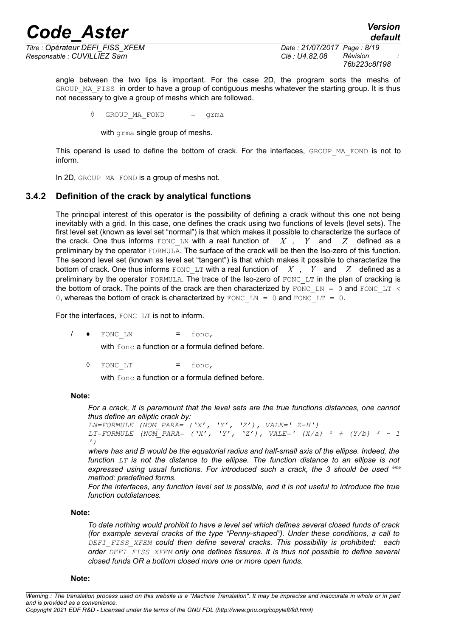*Titre : Opérateur DEFI\_FISS\_XFEM Date : 21/07/2017 Page : 8/19 Responsable : CUVILLIEZ Sam Clé : U4.82.08 Révision :*

*76b223c8f198*

*default*

angle between the two lips is important. For the case 2D, the program sorts the meshs of GROUP MA FISS in order to have a group of contiguous meshs whatever the starting group. It is thus not necessary to give a group of meshs which are followed.

**◊** GROUP\_MA\_FOND = grma

with grma single group of meshs.

This operand is used to define the bottom of crack. For the interfaces, GROUP MA\_FOND is not to inform.

<span id="page-7-0"></span>In 2D, GROUP MA FOND is a group of meshs not.

#### **3.4.2 Definition of the crack by analytical functions**

The principal interest of this operator is the possibility of defining a crack without this one not being inevitably with a grid. In this case, one defines the crack using two functions of levels (level sets). The first level set (known as level set "normal") is that which makes it possible to characterize the surface of the crack. One thus informs FONC LN with a real function of  $X$ ,  $Y$  and  $Z$  defined as a preliminary by the operator FORMULA. The surface of the crack will be then the Iso-zero of this function. The second level set (known as level set "tangent") is that which makes it possible to characterize the bottom of crack. One thus informs FONC LT with a real function of  $\overline{X}$ ,  $\overline{Y}$  and  $\overline{Z}$  defined as a preliminary by the operator FORMULA. The trace of the Iso-zero of FONC LT in the plan of cracking is the bottom of crack. The points of the crack are then characterized by FONC\_LN = 0 and FONC\_LT < 0, whereas the bottom of crack is characterized by FONC\_LN = 0 and FONC\_LT = 0.

For the interfaces, FONC LT is not to inform.

 $/ \bullet$  FONC LN = fonc,

with fonc a function or a formula defined before.

**◊** FONC\_LT = fonc,

with fonc a function or a formula defined before.

#### **Note:**

*For a crack, it is paramount that the level sets are the true functions distances, one cannot thus define an elliptic crack by:*

```
LN=FORMULE (NOM_PARA= ('X', 'Y', 'Z'), VALE=' Z-H')
LT=FORMULE (NOM_PARA= ('X', 'Y', 'Z'), VALE=' (X/a) ² + (Y/b) ² - 1
')
```
*where has and B would be the equatorial radius and half-small axis of the ellipse. Indeed, the function LT is not the distance to the ellipse. The function distance to an ellipse is not expressed using usual functions. For introduced such a crack, the 3 should be used ème method: predefined forms.*

*For the interfaces, any function level set is possible, and it is not useful to introduce the true function outdistances.*

#### **Note:**

*To date nothing would prohibit to have a level set which defines several closed funds of crack (for example several cracks of the type "Penny-shaped"). Under these conditions, a call to DEFI\_FISS\_XFEM could then define several cracks. This possibility is prohibited: each order DEFI\_FISS\_XFEM only one defines fissures. It is thus not possible to define several closed funds OR a bottom closed more one or more open funds.*

#### **Note:**

*Warning : The translation process used on this website is a "Machine Translation". It may be imprecise and inaccurate in whole or in part and is provided as a convenience.*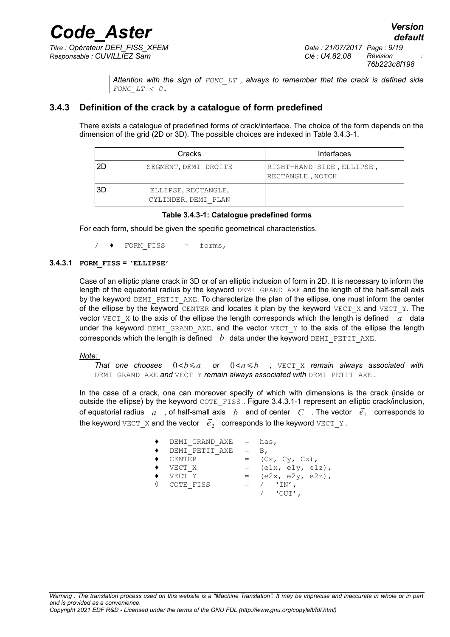*Titre : Opérateur DEFI\_FISS\_XFEM Date : 21/07/2017 Page : 9/19 Responsable : CUVILLIEZ Sam Clé : U4.82.08 Révision :*

*76b223c8f198*

*Attention with the sign of FONC\_LT , always to remember that the crack is defined side FONC\_LT < 0.*

#### **3.4.3 Definition of the crack by a catalogue of form predefined**

<span id="page-8-0"></span>There exists a catalogue of predefined forms of crack/interface. The choice of the form depends on the dimension of the grid (2D or 3D). The possible choices are indexed in [Table 3.4.3-1.](#page-8-1)

|     | Cracks                                     | Interfaces                                    |
|-----|--------------------------------------------|-----------------------------------------------|
| 2D  | SEGMENT, DEMI DROITE                       | RIGHT-HAND SIDE, ELLIPSE,<br>RECTANGLE, NOTCH |
| -3D | ELLIPSE, RECTANGLE,<br>CYLINDER, DEMI PLAN |                                               |

#### <span id="page-8-1"></span>**Table 3.4.3-1: Catalogue predefined forms**

For each form, should be given the specific geometrical characteristics.

 $/ \bullet$  FORM FISS = forms,

#### **3.4.3.1 FORM\_FISS = 'ELLIPSE'**

Case of an elliptic plane crack in 3D or of an elliptic inclusion of form in 2D. It is necessary to inform the length of the equatorial radius by the keyword DEMI\_GRAND\_AXE and the length of the half-small axis by the keyword DEMI\_PETIT\_AXE. To characterize the plan of the ellipse, one must inform the center of the ellipse by the keyword CENTER and locates it plan by the keyword VECT  $X$  and VECT  $Y$ . The vector  $VECT X$  to the axis of the ellipse the length corresponds which the length is defined  $a$  data under the keyword DEMI\_GRAND\_AXE, and the vector VECT\_Y to the axis of the ellipse the length corresponds which the length is defined  $b$  data under the keyword DEMI\_PETIT\_AXE.

 *Note:*

*That one chooses*  $0 < b \le a$  or  $0 < a \le b$  , VECT X *remain always associated with* DEMI\_GRAND\_AXE *and* VECT\_Y *remain always associated with* DEMI\_PETIT\_AXE *.*

In the case of a crack, one can moreover specify of which with dimensions is the crack (inside or outside the ellipse) by the keyword COTE\_FISS. [Figure 3.4.3.1-1](#page-9-0) represent an elliptic crack/inclusion, of equatorial radius  $\;$  a  $\;$  , of half-small axis  $\;$   $b\;$  and of center  $\;$   $C\;$  . The vector  $\;$   $\vec{e}_{1} \;$  corresponds to the keyword  $\texttt{vecr\_x}$  and the vector  $\;\vec{e}_2\;$  corresponds to the keyword  $\texttt{vecr\_y}$  .

| DEMI GRAND AXE         | $=$ $-$ | has,                  |
|------------------------|---------|-----------------------|
| DEMI PETIT AXE         | $=$     | В.                    |
| $\blacklozenge$ CENTER |         | (Cx, Cy, Cz),         |
| VECT X                 |         | $=$ (elx, ely, elz),  |
| VECT Y                 |         | $=$ (e2x, e2y, e2z),  |
| O COTE FISS            |         | $=$ / $'IN'$ .        |
|                        |         | $\sqrt{2}$ $\sqrt{2}$ |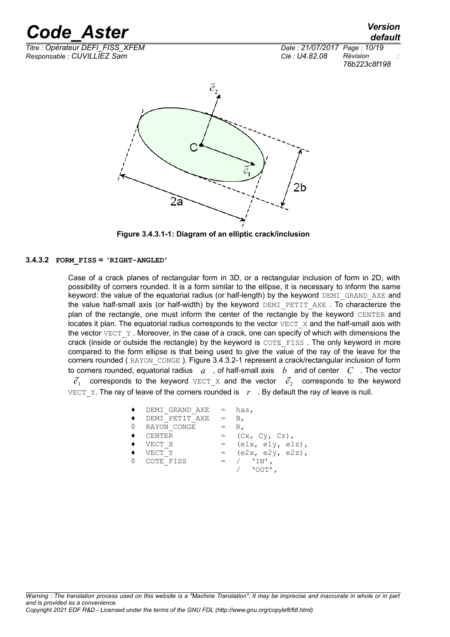*default*

*Titre : Opérateur DEFI\_FISS\_XFEM Date : 21/07/2017 Page : 10/19 Responsable : CUVILLIEZ Sam Clé : U4.82.08 Révision :*





<span id="page-9-0"></span>**Figure 3.4.3.1-1: Diagram of an elliptic crack/inclusion**

#### **3.4.3.2 FORM\_FISS = 'RIGHT-ANGLED'**

Case of a crack planes of rectangular form in 3D, or a rectangular inclusion of form in 2D, with possibility of corners rounded. It is a form similar to the ellipse, it is necessary to inform the same keyword: the value of the equatorial radius (or half-length) by the keyword DEMI\_GRAND\_AXE and the value half-small axis (or half-width) by the keyword  $DEMI$  PETIT AXE . To characterize the plan of the rectangle, one must inform the center of the rectangle by the keyword CENTER and locates it plan. The equatorial radius corresponds to the vector  $VECT X$  and the half-small axis with the vector VECT  $Y$ . Moreover, in the case of a crack, one can specify of which with dimensions the crack (inside or outside the rectangle) by the keyword is COTE\_FISS. The only keyword in more compared to the form ellipse is that being used to give the value of the ray of the leave for the corners rounded (RAYON CONGE). [Figure 3.4.3.2-1](#page-10-0) represent a crack/rectangular inclusion of form to corners rounded, equatorial radius *a* , of half-small axis *b* and of center *C* . The vector

 $\vec{e}_1$  corresponds to the keyword  $\text{vecr}_X$  and the vector  $\vec{e}_2$  corresponds to the keyword VECT Y. The ray of leave of the corners rounded is  $r$ . By default the ray of leave is null.

| $\blacklozenge$ DEMI GRAND AXE |            | $=$ has,                                  |
|--------------------------------|------------|-------------------------------------------|
| ◆ DEMI PETIT AXE               | $=$ B.     |                                           |
| ♦ RAYON CONGE                  | $=$        | $R_{\ell}$                                |
| $\bullet$ CENTER               |            | $=$ $(Cx, Cy, Cz),$                       |
| $\blacklozenge$ VECT X         | $=$ $-$    | $\text{(elx, ely, elz)}$ ,                |
| $\blacklozenge$ vect y         | $=$ $\sim$ | $(e2x, e2y, e2z)$ ,                       |
| ♦ COTE FISS                    |            | $=$ $/$ $'IN'$ .<br>$\sqrt{2}$ $\sqrt{2}$ |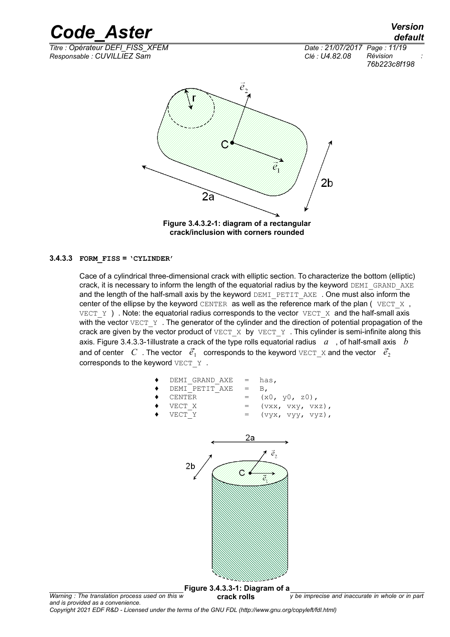*Titre : Opérateur DEFI\_FISS\_XFEM Date : 21/07/2017 Page : 11/19 Responsable : CUVILLIEZ Sam Clé : U4.82.08 Révision :*



*76b223c8f198*



<span id="page-10-0"></span>**Figure 3.4.3.2-1: diagram of a rectangular crack/inclusion with corners rounded**

#### **3.4.3.3 FORM\_FISS = 'CYLINDER'**

Cace of a cylindrical three-dimensional crack with elliptic section. To characterize the bottom (elliptic) crack, it is necessary to inform the length of the equatorial radius by the keyword DEMI\_GRAND\_AXE and the length of the half-small axis by the keyword DEMI\_PETIT\_AXE . One must also inform the center of the ellipse by the keyword CENTER as well as the reference mark of the plan ( $VECT X$ , VECT Y ) . Note: the equatorial radius corresponds to the vector VECT X and the half-small axis with the vector VECT Y. The generator of the cylinder and the direction of potential propagation of the crack are given by the vector product of  $VECT_X$  by  $VECT_Y$ . This cylinder is semi-infinite along this axis. [Figure 3.4.3.3-1i](#page-10-1)llustrate a crack of the type rolls equatorial radius *a* , of half-small axis *b* and of center  $|C|$  . The vector  $|\vec{e_1}|$  corresponds to the keyword  $\text{vecr}_X$  and the vector  $|\vec{e_2}|$ corresponds to the keyword VECT Y.



<span id="page-10-1"></span>**Figure 3.4.3.3-1: Diagram of a**

*Warning : The translation process used on this w* **Crack rolls** *y be imprecise and inaccurate in whole or in part and is provided as a convenience. Copyright 2021 EDF R&D - Licensed under the terms of the GNU FDL (http://www.gnu.org/copyleft/fdl.html)* **crack rolls**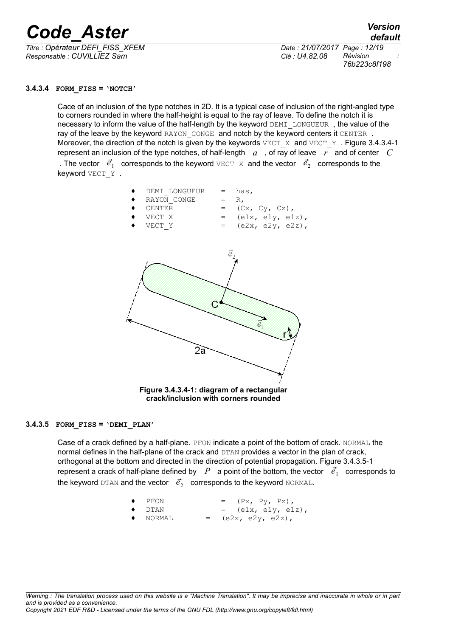*Titre : Opérateur DEFI\_FISS\_XFEM Date : 21/07/2017 Page : 12/19 Responsable : CUVILLIEZ Sam Clé : U4.82.08 Révision :*

*default 76b223c8f198*

#### **3.4.3.4 FORM\_FISS = 'NOTCH'**

Cace of an inclusion of the type notches in 2D. It is a typical case of inclusion of the right-angled type to corners rounded in where the half-height is equal to the ray of leave. To define the notch it is necessary to inform the value of the half-length by the keyword DEMI\_LONGUEUR, the value of the ray of the leave by the keyword RAYON CONGE and notch by the keyword centers it CENTER. Moreover, the direction of the notch is given by the keywords  $VECT X$  and  $VECT Y$ . [Figure 3.4.3.4-1](#page-11-0) represent an inclusion of the type notches, of half-length *a* , of ray of leave *r* and of center *C* . The vector  $\vec{e}_1$  corresponds to the keyword  $\text{VECT\_X}$  and the vector  $\vec{e}_2$  corresponds to the keyword VECT Y .



<span id="page-11-0"></span>**crack/inclusion with corners rounded**

#### **3.4.3.5 FORM\_FISS = 'DEMI\_PLAN'**

Case of a crack defined by a half-plane. PFON indicate a point of the bottom of crack. NORMAL the normal defines in the half-plane of the crack and DTAN provides a vector in the plan of crack, orthogonal at the bottom and directed in the direction of potential propagation. [Figure 3.4.3.5-1](#page-12-1) represent a crack of half-plane defined by  $|P|$  a point of the bottom, the vector  $|\vec{e_1}|$  corresponds to the keyword  $\texttt{DTAN}$  and the vector  $\ket{\vec{e}_2}$  corresponds to the keyword  $\texttt{NORMAL}.$ 

\n- $$
PFON
$$
 =  $(Px, Py, Pz),$
\n- $DTAN$  =  $(e1x, e1y, e1z),$
\n- $NORMAL$  =  $(e2x, e2y, e2z),$
\n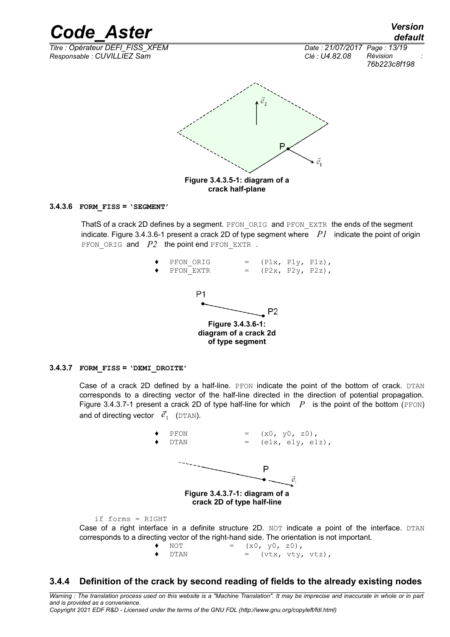*Code\_Aster Version default Titre : Opérateur DEFI\_FISS\_XFEM Date : 21/07/2017 Page : 13/19 Responsable : CUVILLIEZ Sam Clé : U4.82.08 Révision : 76b223c8f198*  $\vec{e}_2$ ₿ ē. **Figure 3.4.3.5-1: diagram of a crack half-plane**

#### **3.4.3.6 FORM\_FISS = 'SEGMENT'**

ThatS of a crack 2D defines by a segment. PFON ORIG and PFON EXTR the ends of the segment indicate. [Figure 3.4.3.6-1](#page-12-3) present a crack 2D of type segment where *P1* indicate the point of origin PFON ORIG and *P2* the point end PFON EXTR.

<span id="page-12-3"></span><span id="page-12-1"></span>

#### **3.4.3.7 FORM\_FISS = 'DEMI\_DROITE'**

Case of a crack 2D defined by a half-line. PFON indicate the point of the bottom of crack. DTAN corresponds to a directing vector of the half-line directed in the direction of potential propagation. [Figure 3.4.3.7-1](#page-12-2) present a crack 2D of type half-line for which  $P$  is the point of the bottom (PFON) and of directing vector  $\vec{e}_1$  (DTAN).

<span id="page-12-2"></span>

<span id="page-12-0"></span> $\bullet$  DTAN = (vtx, vty, vtz),

#### **3.4.4 Definition of the crack by second reading of fields to the already existing nodes**

*Warning : The translation process used on this website is a "Machine Translation". It may be imprecise and inaccurate in whole or in part and is provided as a convenience. Copyright 2021 EDF R&D - Licensed under the terms of the GNU FDL (http://www.gnu.org/copyleft/fdl.html)*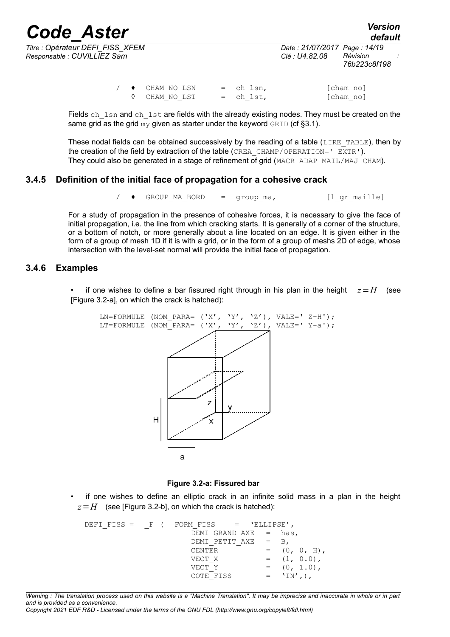*Titre : Opérateur DEFI\_FISS\_XFEM Date : 21/07/2017 Page : 14/19 Responsable : CUVILLIEZ Sam Clé : U4.82.08 Révision :*

*76b223c8f198*

|  | $\leftrightarrow$ CHAM NO LSN | $=$ ch lsn, | [cham no] |
|--|-------------------------------|-------------|-----------|
|  | ♦ CHAM NO LST                 | $=$ ch lst, | [cham no] |

Fields ch  $\Delta$  lsn and ch $\Delta$ lst are fields with the already existing nodes. They must be created on the same grid as the grid  $my$  given as starter under the keyword  $GRED$  (cf [§3.1\)](#page-5-1).

These nodal fields can be obtained successively by the reading of a table (LIRE TABLE), then by the creation of the field by extraction of the table (CREA\_CHAMP/OPERATION=' EXTR'). They could also be generated in a stage of refinement of grid (MACR\_ADAP\_MAIL/MAJ\_CHAM).

#### **3.4.5 Definition of the initial face of propagation for a cohesive crack**

/  $\rightarrow$  GROUP MA BORD = group ma, [l gr maille]

For a study of propagation in the presence of cohesive forces, it is necessary to give the face of initial propagation, i.e. the line from which cracking starts. It is generally of a corner of the structure, or a bottom of notch, or more generally about a line located on an edge. It is given either in the form of a group of mesh 1D if it is with a grid, or in the form of a group of meshs 2D of edge, whose intersection with the level-set normal will provide the initial face of propagation.

#### **3.4.6 Examples**

if one wishes to define a bar fissured right through in his plan in the height  $z=H$  (see [Figure 3.2-a], on which the crack is hatched):



#### **Figure 3.2-a: Fissured bar**

• if one wishes to define an elliptic crack in an infinite solid mass in a plan in the height  $z=H$  (see [Figure 3.2-b], on which the crack is hatched):

DEFI\_FISS =  $_F$  ( FORM\_FISS = 'ELLIPSE', DEMI GRAND  $AXE = has$ ,  $DEMI$  PETIT AXE = B, CENTER  $= (0, 0, H),$ VECT X =  $(1, 0.0)$ ,  $VECT Y$  =  $(0, 1.0)$ , COTE FISS  $= 'IN',),$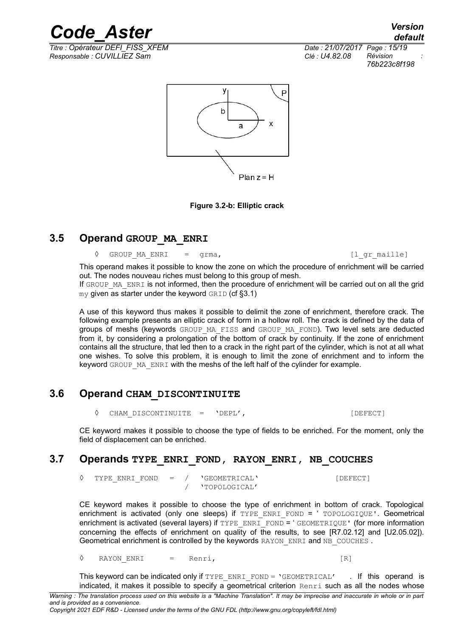*Titre : Opérateur DEFI\_FISS\_XFEM Date : 21/07/2017 Page : 15/19 Responsable : CUVILLIEZ Sam Clé : U4.82.08 Révision :*

*76b223c8f198*



**Figure 3.2-b: Elliptic crack**

### **3.5 Operand GROUP\_MA\_ENRI**

**◊** GROUP\_MA\_ENRI = grma, [l\_gr\_maille]

This operand makes it possible to know the zone on which the procedure of enrichment will be carried out. The nodes nouveau riches must belong to this group of mesh.

If GROUP MA ENRI is not informed, then the procedure of enrichment will be carried out on all the grid  $mv$  given as starter under the keyword GRID (cf [§3.1\)](#page-5-1)

A use of this keyword thus makes it possible to delimit the zone of enrichment, therefore crack. The following example presents an elliptic crack of form in a hollow roll. The crack is defined by the data of groups of meshs (keywords GROUP MA\_FISS and GROUP\_MA\_FOND). Two level sets are deducted from it, by considering a prolongation of the bottom of crack by continuity. If the zone of enrichment contains all the structure, that led then to a crack in the right part of the cylinder, which is not at all what one wishes. To solve this problem, it is enough to limit the zone of enrichment and to inform the keyword GROUP MA ENRI with the meshs of the left half of the cylinder for example.

### **3.6 Operand CHAM\_DISCONTINUITE**

**◊** CHAM\_DISCONTINUITE = 'DEPL', [DEFECT]

CE keyword makes it possible to choose the type of fields to be enriched. For the moment, only the field of displacement can be enriched.

### **3.7 Operands TYPE\_ENRI\_FOND, RAYON\_ENRI, NB\_COUCHES**

◊ TYPE\_ENRI\_FOND = / 'GEOMETRICAL' [DEFECT] / 'TOPOLOGICAL'

CE keyword makes it possible to choose the type of enrichment in bottom of crack. Topological enrichment is activated (only one sleeps) if TYPE\_ENRI\_FOND = ' TOPOLOGIQUE'. Geometrical enrichment is activated (several layers) if TYPE\_ENRI\_FOND = ' GEOMETRIQUE' (for more information concerning the effects of enrichment on quality of the results, to see [R7.02.12] and [U2.05.02]). Geometrical enrichment is controlled by the keywords RAYON\_ENRI and NB\_COUCHES.

◊ RAYON\_ENRI = Renri, [R]

This keyword can be indicated only if TYPE\_ENRI\_FOND =  $\text{VGEOMETRICAL}'$  . If this operand is indicated, it makes it possible to specify a geometrical criterion Renri such as all the nodes whose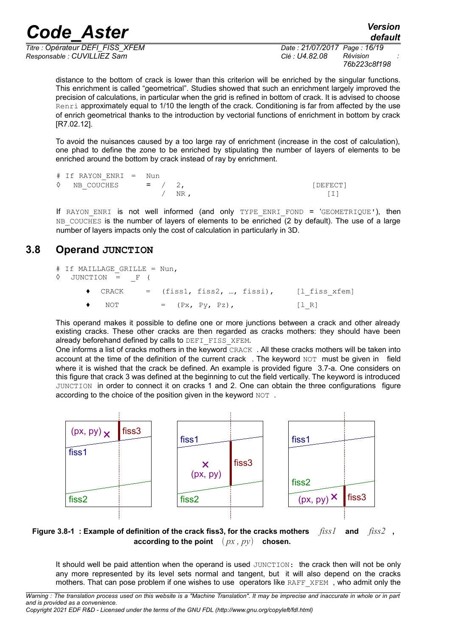*Titre : Opérateur DEFI\_FISS\_XFEM Date : 21/07/2017 Page : 16/19 Responsable : CUVILLIEZ Sam Clé : U4.82.08 Révision :*

*default 76b223c8f198*

distance to the bottom of crack is lower than this criterion will be enriched by the singular functions. This enrichment is called "geometrical". Studies showed that such an enrichment largely improved the precision of calculations, in particular when the grid is refined in bottom of crack. It is advised to choose Renri approximately equal to 1/10 the length of the crack. Conditioning is far from affected by the use of enrich geometrical thanks to the introduction by vectorial functions of enrichment in bottom by crack [R7.02.12].

To avoid the nuisances caused by a too large ray of enrichment (increase in the cost of calculation), one phad to define the zone to be enriched by stipulating the number of layers of elements to be enriched around the bottom by crack instead of ray by enrichment.

| # If RAYON ENRI = Nun        |  |          |          |
|------------------------------|--|----------|----------|
| $\Diamond$ NB COUCHES = / 2, |  |          | [DEFECT] |
|                              |  | $/ NR$ . |          |

If RAYON ENRI is not well informed (and only TYPE ENRI FOND = 'GEOMETRIQUE'), then NB COUCHES is the number of layers of elements to be enriched (2 by default). The use of a large number of layers impacts only the cost of calculation in particularly in 3D.

### **3.8 Operand JUNCTION**

| # If MAILLAGE GRILLE = Nun,<br>$\Diamond$ JUNCTION = F ( |               |  |                      |                                                          |
|----------------------------------------------------------|---------------|--|----------------------|----------------------------------------------------------|
|                                                          |               |  |                      | $\bullet$ CRACK = (fiss1, fiss2, , fissi), [l fiss xfem] |
|                                                          | $\bullet$ NOT |  | $=$ $(Px, Py, Pz)$ , | $\begin{bmatrix} 1 & R \end{bmatrix}$                    |

This operand makes it possible to define one or more junctions between a crack and other already existing cracks. These other cracks are then regarded as cracks mothers: they should have been already beforehand defined by calls to DEFI\_FISS\_XFEM.

One informs a list of cracks mothers in the keyword CRACK . All these cracks mothers will be taken into account at the time of the definition of the current crack. The keyword  $NOT$  must be given in field where it is wished that the crack be defined. An example is provided figure 3.7-a. One considers on this figure that crack 3 was defined at the beginning to cut the field vertically. The keyword is introduced JUNCTION in order to connect it on cracks 1 and 2. One can obtain the three configurations figure according to the choice of the position given in the keyword NOT.



**Figure 3.8-1 : Example of definition of the crack fiss3, for the cracks mothers** *fiss1* **and** *fiss2* **, according to the point**  $(px, py)$  chosen.

It should well be paid attention when the operand is used JUNCTION: the crack then will not be only any more represented by its level sets normal and tangent, but it will also depend on the cracks mothers. That can pose problem if one wishes to use operators like RAFF\_XFEM , who admit only the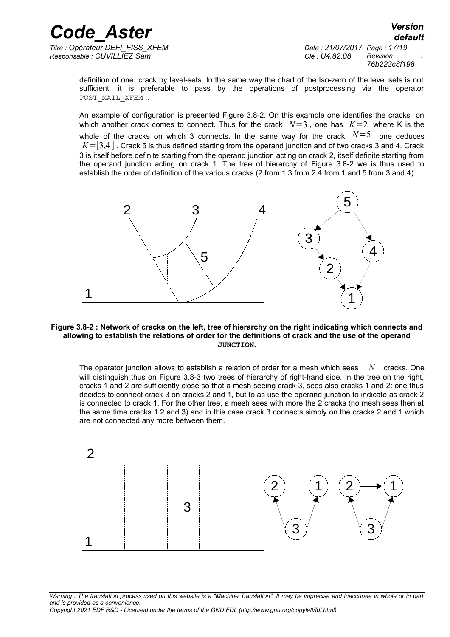*Titre : Opérateur DEFI\_FISS\_XFEM Date : 21/07/2017 Page : 17/19 Responsable : CUVILLIEZ Sam Clé : U4.82.08 Révision :*

*76b223c8f198*

definition of one crack by level-sets. In the same way the chart of the Iso-zero of the level sets is not sufficient, it is preferable to pass by the operations of postprocessing via the operator POST MAIL XFEM .

An example of configuration is presented [Figure 3.8-2.](#page-16-0) On this example one identifies the cracks on which another crack comes to connect. Thus for the crack  $N=3$  , one has  $K=2$  where K is the whole of the cracks on which 3 connects. In the same way for the crack  $N=5$ , one deduces  $K=[3,4]$ . Crack 5 is thus defined starting from the operand junction and of two cracks 3 and 4. Crack 3 is itself before definite starting from the operand junction acting on crack 2, itself definite starting from the operand junction acting on crack 1. The tree of hierarchy of [Figure 3.8-2](#page-16-0) we is thus used to establish the order of definition of the various cracks (2 from 1.3 from 2.4 from 1 and 5 from 3 and 4).



#### <span id="page-16-0"></span>**Figure 3.8-2 : Network of cracks on the left, tree of hierarchy on the right indicating which connects and allowing to establish the relations of order for the definitions of crack and the use of the operand JUNCTION.**

The operator junction allows to establish a relation of order for a mesh which sees *N* cracks. One will distinguish thus on [Figure 3.8-3](#page-17-0) two trees of hierarchy of right-hand side. In the tree on the right, cracks 1 and 2 are sufficiently close so that a mesh seeing crack 3, sees also cracks 1 and 2: one thus decides to connect crack 3 on cracks 2 and 1, but to as use the operand junction to indicate as crack 2 is connected to crack 1. For the other tree, a mesh sees with more the 2 cracks (no mesh sees then at the same time cracks 1.2 and 3) and in this case crack 3 connects simply on the cracks 2 and 1 which are not connected any more between them.



*Warning : The translation process used on this website is a "Machine Translation". It may be imprecise and inaccurate in whole or in part and is provided as a convenience. Copyright 2021 EDF R&D - Licensed under the terms of the GNU FDL (http://www.gnu.org/copyleft/fdl.html)*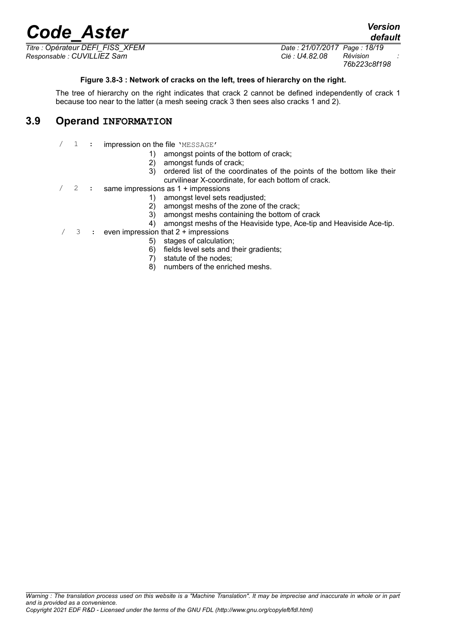*Titre : Opérateur DEFI\_FISS\_XFEM Date : 21/07/2017 Page : 18/19 Responsable : CUVILLIEZ Sam Clé : U4.82.08 Révision :*

*76b223c8f198*

*default*

#### <span id="page-17-0"></span>**Figure 3.8-3 : Network of cracks on the left, trees of hierarchy on the right.**

The tree of hierarchy on the right indicates that crack 2 cannot be defined independently of crack 1 because too near to the latter (a mesh seeing crack 3 then sees also cracks 1 and 2).

### **3.9 Operand INFORMATION**

- / 1 : impression on the file 'MESSAGE'
	- 1) amongst points of the bottom of crack;
	- 2) amongst funds of crack;
	- 3) ordered list of the coordinates of the points of the bottom like their curvilinear X-coordinate, for each bottom of crack.
- 2 : same impressions as 1 + impressions
	- 1) amongst level sets readjusted;
	- 2) amongst meshs of the zone of the crack;
	- 3) amongst meshs containing the bottom of crack
	- 4) amongst meshs of the Heaviside type, Ace-tip and Heaviside Ace-tip.
- $/$  3 : even impression that  $2 +$  impressions
	- 5) stages of calculation;
	- 6) fields level sets and their gradients;
	- 7) statute of the nodes;
	- 8) numbers of the enriched meshs.